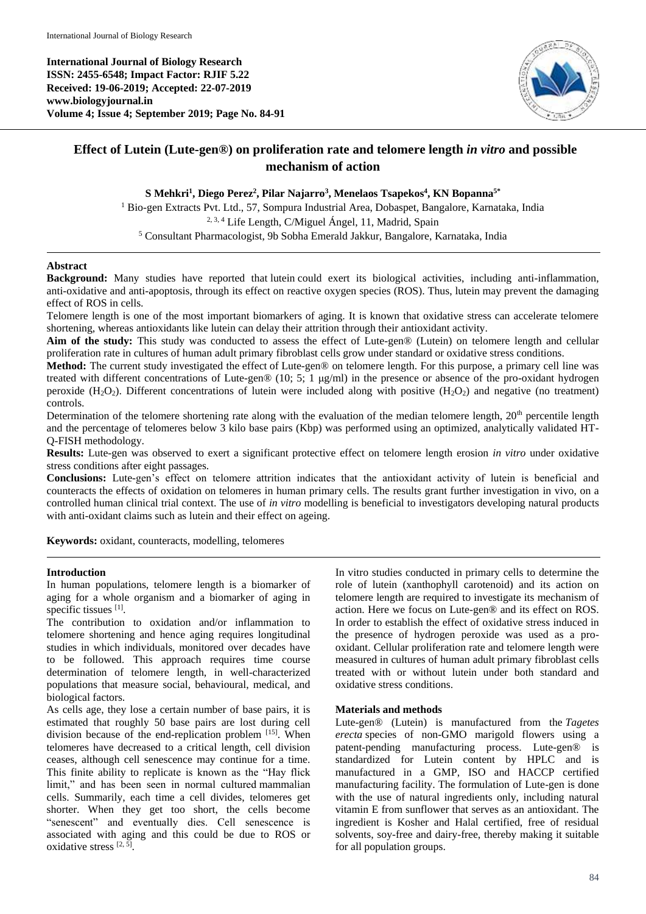**International Journal of Biology Research ISSN: 2455-6548; Impact Factor: RJIF 5.22 Received: 19-06-2019; Accepted: 22-07-2019 www.biologyjournal.in Volume 4; Issue 4; September 2019; Page No. 84-91**



# **Effect of Lutein (Lute-gen®) on proliferation rate and telomere length** *in vitro* **and possible mechanism of action**

## **S Mehkri<sup>1</sup> , Diego Perez<sup>2</sup> , Pilar Najarro<sup>3</sup> , Menelaos Tsapekos<sup>4</sup> , KN Bopanna5\***

<sup>1</sup> Bio-gen Extracts Pvt. Ltd., 57, Sompura Industrial Area, Dobaspet, Bangalore, Karnataka, India 2, 3, 4 Life Length, C/Miguel Ángel, 11, Madrid, Spain <sup>5</sup> Consultant Pharmacologist, 9b Sobha Emerald Jakkur, Bangalore, Karnataka, India

#### **Abstract**

**Background:** Many studies have reported that lutein could exert its biological activities, including anti-inflammation, anti-oxidative and anti-apoptosis, through its effect on reactive oxygen species (ROS). Thus, lutein may prevent the damaging effect of ROS in cells.

Telomere length is one of the most important biomarkers of aging. It is known that oxidative stress can accelerate telomere shortening, whereas antioxidants like lutein can delay their attrition through their antioxidant activity.

**Aim of the study:** This study was conducted to assess the effect of Lute-gen® (Lutein) on telomere length and cellular proliferation rate in cultures of human adult primary fibroblast cells grow under standard or oxidative stress conditions.

**Method:** The current study investigated the effect of Lute-gen® on telomere length. For this purpose, a primary cell line was treated with different concentrations of Lute-gen® (10; 5; 1  $\mu$ g/ml) in the presence or absence of the pro-oxidant hydrogen peroxide  $(H_2O_2)$ . Different concentrations of lutein were included along with positive  $(H_2O_2)$  and negative (no treatment) controls.

Determination of the telomere shortening rate along with the evaluation of the median telomere length,  $20<sup>th</sup>$  percentile length and the percentage of telomeres below 3 kilo base pairs (Kbp) was performed using an optimized, analytically validated HT-Q-FISH methodology.

**Results:** Lute-gen was observed to exert a significant protective effect on telomere length erosion *in vitro* under oxidative stress conditions after eight passages.

**Conclusions:** Lute-gen's effect on telomere attrition indicates that the antioxidant activity of lutein is beneficial and counteracts the effects of oxidation on telomeres in human primary cells. The results grant further investigation in vivo, on a controlled human clinical trial context. The use of *in vitro* modelling is beneficial to investigators developing natural products with anti-oxidant claims such as lutein and their effect on ageing.

**Keywords:** oxidant, counteracts, modelling, telomeres

#### **Introduction**

In human populations, telomere length is a biomarker of aging for a whole organism and a biomarker of aging in specific tissues [1].

The contribution to oxidation and/or inflammation to telomere shortening and hence aging requires longitudinal studies in which individuals, monitored over decades have to be followed. This approach requires time course determination of telomere length, in well-characterized populations that measure social, behavioural, medical, and biological factors.

As cells age, they lose a certain number of base pairs, it is estimated that roughly 50 base pairs are lost during cell division because of the end-replication problem [15]. When telomeres have decreased to a critical length, cell division ceases, although cell senescence may continue for a time. This finite ability to replicate is known as the "Hay flick limit," and has been seen in normal cultured mammalian cells. Summarily, each time a cell divides, telomeres get shorter. When they get too short, the cells become "senescent" and eventually dies. Cell senescence is associated with aging and this could be due to ROS or oxidative stress [2, 5].

In vitro studies conducted in primary cells to determine the role of lutein (xanthophyll carotenoid) and its action on telomere length are required to investigate its mechanism of action. Here we focus on Lute-gen® and its effect on ROS. In order to establish the effect of oxidative stress induced in the presence of hydrogen peroxide was used as a prooxidant. Cellular proliferation rate and telomere length were measured in cultures of human adult primary fibroblast cells treated with or without lutein under both standard and oxidative stress conditions.

#### **Materials and methods**

Lute-gen® (Lutein) is manufactured from the *Tagetes erecta* species of non-GMO marigold flowers using a patent-pending manufacturing process. Lute-gen® is standardized for Lutein content by HPLC and is manufactured in a GMP, ISO and HACCP certified manufacturing facility. The formulation of Lute-gen is done with the use of natural ingredients only, including natural vitamin E from sunflower that serves as an antioxidant. The ingredient is Kosher and Halal certified, free of residual solvents, soy-free and dairy-free, thereby making it suitable for all population groups.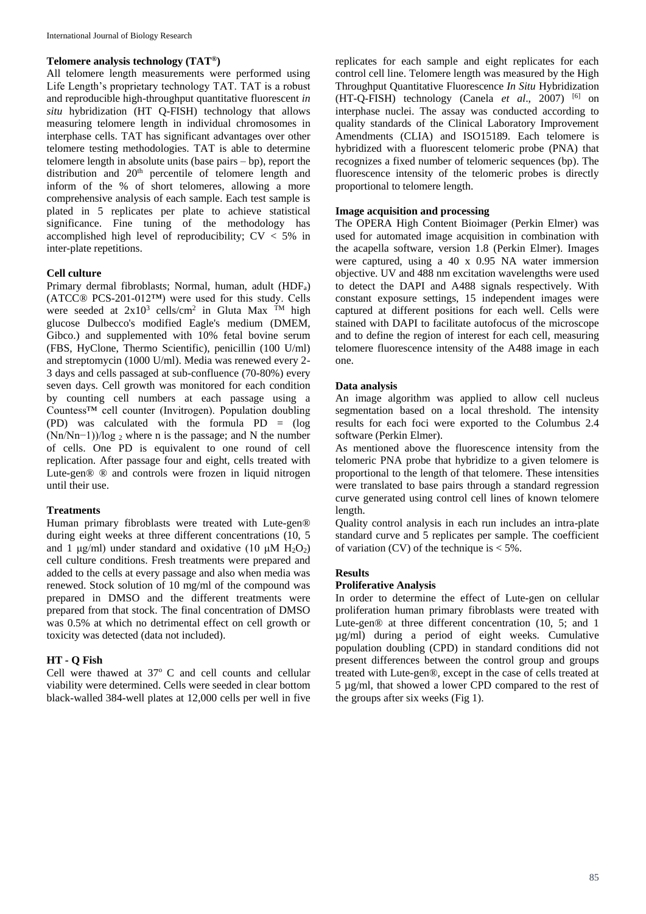## **Telomere analysis technology (TAT®)**

All telomere length measurements were performed using Life Length's proprietary technology TAT. TAT is a robust and reproducible high-throughput quantitative fluorescent *in situ* hybridization (HT Q-FISH) technology that allows measuring telomere length in individual chromosomes in interphase cells. TAT has significant advantages over other telomere testing methodologies. TAT is able to determine telomere length in absolute units (base pairs – bp), report the distribution and 20<sup>th</sup> percentile of telomere length and inform of the % of short telomeres, allowing a more comprehensive analysis of each sample. Each test sample is plated in 5 replicates per plate to achieve statistical significance. Fine tuning of the methodology has accomplished high level of reproducibility;  $CV < 5\%$  in inter-plate repetitions.

# **Cell culture**

Primary dermal fibroblasts; Normal, human, adult (HDFa) (ATCC® PCS-201-012™) were used for this study. Cells were seeded at  $2x10^3$  cells/cm<sup>2</sup> in Gluta Max <sup>TM</sup> high glucose Dulbecco's modified Eagle's medium (DMEM, Gibco.) and supplemented with 10% fetal bovine serum (FBS, HyClone, Thermo Scientific), penicillin (100 U/ml) and streptomycin (1000 U/ml). Media was renewed every 2- 3 days and cells passaged at sub-confluence (70-80%) every seven days. Cell growth was monitored for each condition by counting cell numbers at each passage using a Countess™ cell counter (Invitrogen). Population doubling (PD) was calculated with the formula PD = (log  $(Nn/Nn-1)/log_2$  where n is the passage; and N the number of cells. One PD is equivalent to one round of cell replication. After passage four and eight, cells treated with Lute-gen® ® and controls were frozen in liquid nitrogen until their use.

## **Treatments**

Human primary fibroblasts were treated with Lute-gen® during eight weeks at three different concentrations (10, 5 and 1 μg/ml) under standard and oxidative (10 μM  $H_2O_2$ ) cell culture conditions. Fresh treatments were prepared and added to the cells at every passage and also when media was renewed. Stock solution of 10 mg/ml of the compound was prepared in DMSO and the different treatments were prepared from that stock. The final concentration of DMSO was 0.5% at which no detrimental effect on cell growth or toxicity was detected (data not included).

## **HT - Q Fish**

Cell were thawed at  $37^{\circ}$  C and cell counts and cellular viability were determined. Cells were seeded in clear bottom black-walled 384-well plates at 12,000 cells per well in five replicates for each sample and eight replicates for each control cell line. Telomere length was measured by the High Throughput Quantitative Fluorescence *In Situ* Hybridization (HT-Q-FISH) technology (Canela *et al*., 2007) [6] on interphase nuclei. The assay was conducted according to quality standards of the Clinical Laboratory Improvement Amendments (CLIA) and ISO15189. Each telomere is hybridized with a fluorescent telomeric probe (PNA) that recognizes a fixed number of telomeric sequences (bp). The fluorescence intensity of the telomeric probes is directly proportional to telomere length.

## **Image acquisition and processing**

The OPERA High Content Bioimager (Perkin Elmer) was used for automated image acquisition in combination with the acapella software, version 1.8 (Perkin Elmer). Images were captured, using a 40 x 0.95 NA water immersion objective. UV and 488 nm excitation wavelengths were used to detect the DAPI and A488 signals respectively. With constant exposure settings, 15 independent images were captured at different positions for each well. Cells were stained with DAPI to facilitate autofocus of the microscope and to define the region of interest for each cell, measuring telomere fluorescence intensity of the A488 image in each one.

## **Data analysis**

An image algorithm was applied to allow cell nucleus segmentation based on a local threshold. The intensity results for each foci were exported to the Columbus 2.4 software (Perkin Elmer).

As mentioned above the fluorescence intensity from the telomeric PNA probe that hybridize to a given telomere is proportional to the length of that telomere. These intensities were translated to base pairs through a standard regression curve generated using control cell lines of known telomere length.

Quality control analysis in each run includes an intra-plate standard curve and 5 replicates per sample. The coefficient of variation (CV) of the technique is  $< 5\%$ .

## **Results**

#### **Proliferative Analysis**

In order to determine the effect of Lute-gen on cellular proliferation human primary fibroblasts were treated with Lute-gen® at three different concentration (10, 5; and 1 µg/ml) during a period of eight weeks. Cumulative population doubling (CPD) in standard conditions did not present differences between the control group and groups treated with Lute-gen®, except in the case of cells treated at 5 µg/ml, that showed a lower CPD compared to the rest of the groups after six weeks (Fig 1).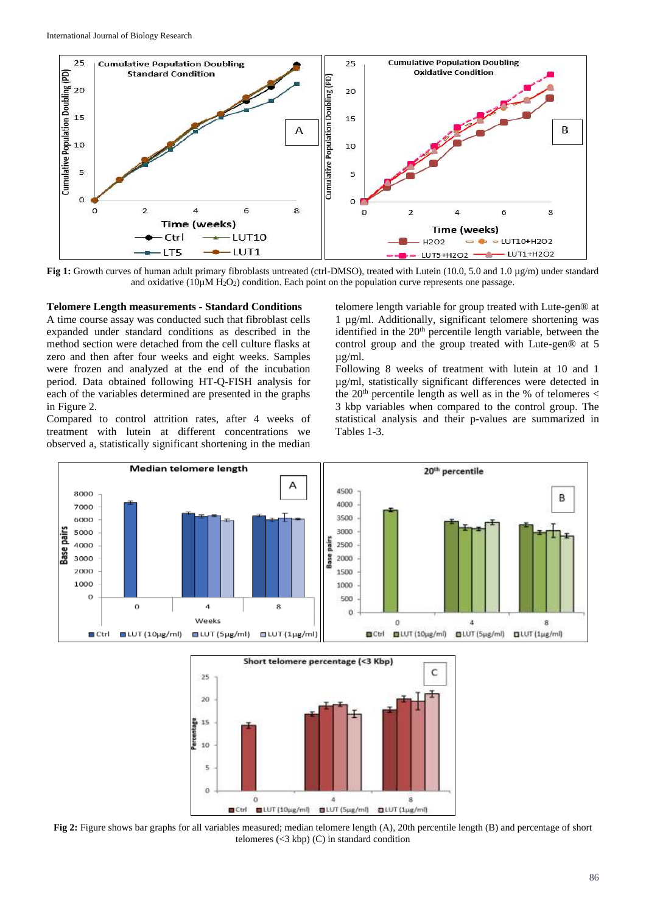

**Fig 1:** Growth curves of human adult primary fibroblasts untreated (ctrl-DMSO), treated with Lutein (10.0, 5.0 and 1.0 µg/m) under standard and oxidative  $(10\mu)$  H<sub>2</sub>O<sub>2</sub>) condition. Each point on the population curve represents one passage.

#### **Telomere Length measurements - Standard Conditions**

A time course assay was conducted such that fibroblast cells expanded under standard conditions as described in the method section were detached from the cell culture flasks at zero and then after four weeks and eight weeks. Samples were frozen and analyzed at the end of the incubation period. Data obtained following HT-Q-FISH analysis for each of the variables determined are presented in the graphs in Figure 2.

Compared to control attrition rates, after 4 weeks of treatment with lutein at different concentrations we observed a, statistically significant shortening in the median telomere length variable for group treated with Lute-gen® at 1 µg/ml. Additionally, significant telomere shortening was identified in the 20<sup>th</sup> percentile length variable, between the control group and the group treated with Lute-gen® at 5 µg/ml.

Following 8 weeks of treatment with lutein at 10 and 1 µg/ml, statistically significant differences were detected in the 20<sup>th</sup> percentile length as well as in the % of telomeres  $\lt$ 3 kbp variables when compared to the control group. The statistical analysis and their p-values are summarized in Tables 1-3.





**Fig 2:** Figure shows bar graphs for all variables measured; median telomere length (A), 20th percentile length (B) and percentage of short telomeres  $(<3 kbp)$  (C) in standard condition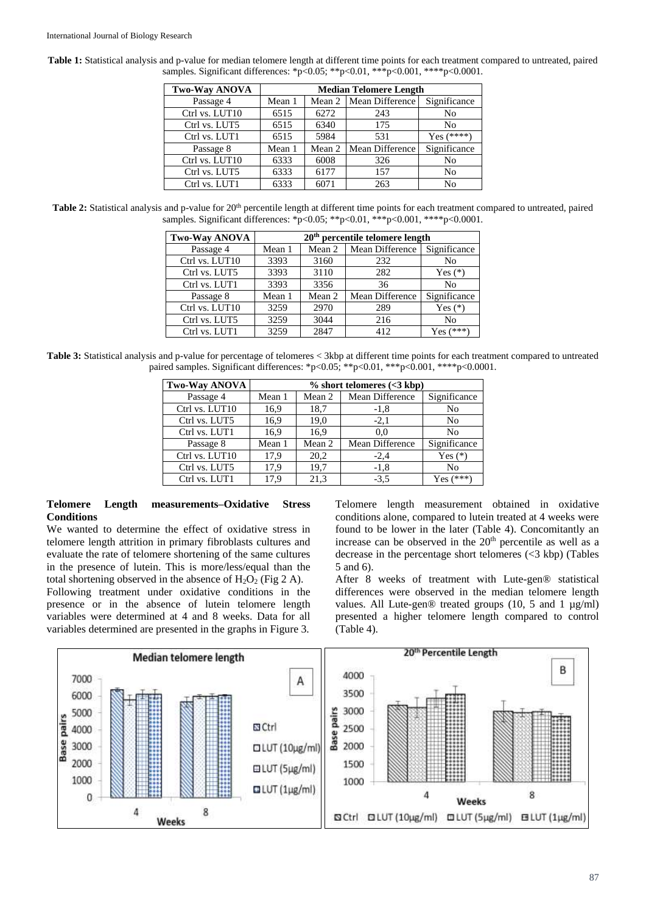| <b>Two-Way ANOVA</b> | <b>Median Telomere Length</b> |        |                        |                |
|----------------------|-------------------------------|--------|------------------------|----------------|
| Passage 4            | Mean 1                        | Mean 2 | Mean Difference        | Significance   |
| Ctrl vs. LUT10       | 6515                          | 6272   | 243                    | N <sub>0</sub> |
| Ctrl vs. LUT5        | 6515                          | 6340   | 175                    | N <sub>0</sub> |
| Ctrl vs. LUT1        | 6515                          | 5984   | 531                    | $Yes$ (****)   |
| Passage 8            | Mean 1                        | Mean 2 | <b>Mean Difference</b> | Significance   |
| Ctrl vs. LUT10       | 6333                          | 6008   | 326                    | N <sub>0</sub> |
| Ctrl vs. LUT5        | 6333                          | 6177   | 157                    | N <sub>0</sub> |
| Ctrl vs. LUT1        | 6333                          | 6071   | 263                    | N <sub>0</sub> |

**Table 1:** Statistical analysis and p-value for median telomere length at different time points for each treatment compared to untreated, paired samples. Significant differences: \*p<0.05; \*\*p<0.01, \*\*\*p<0.001, \*\*\*\*p<0.0001.

Table 2: Statistical analysis and p-value for 20<sup>th</sup> percentile length at different time points for each treatment compared to untreated, paired samples. Significant differences: \*p<0.05; \*\*p<0.01, \*\*\*p<0.001, \*\*\*\*p<0.0001.

| <b>Two-Way ANOVA</b> | $20th$ percentile telomere length |        |                 |                |
|----------------------|-----------------------------------|--------|-----------------|----------------|
| Passage 4            | Mean 1                            | Mean 2 | Mean Difference | Significance   |
| Ctrl vs. LUT10       | 3393                              | 3160   | 232             | N <sub>0</sub> |
| Ctrl vs. LUT5        | 3393                              | 3110   | 282             | Yes $(*)$      |
| Ctrl vs. LUT1        | 3393                              | 3356   | 36              | N <sub>0</sub> |
| Passage 8            | Mean 1                            | Mean 2 | Mean Difference | Significance   |
| Ctrl vs. LUT10       | 3259                              | 2970   | 289             | Yes $(*)$      |
| Ctrl vs. LUT5        | 3259                              | 3044   | 216             | N <sub>0</sub> |
| Ctrl vs. LUT1        | 3259                              | 2847   | 412             | Yes $(***)$    |

**Table 3:** Statistical analysis and p-value for percentage of telomeres < 3kbp at different time points for each treatment compared to untreated paired samples. Significant differences: \*p<0.05; \*\*p<0.01, \*\*\*p<0.001, \*\*\*\*p<0.0001.

| <b>Two-Way ANOVA</b> | $%$ short telomeres (<3 kbp) |        |                 |              |  |
|----------------------|------------------------------|--------|-----------------|--------------|--|
| Passage 4            | Mean 1                       | Mean 2 | Mean Difference | Significance |  |
| Ctrl vs. LUT10       | 16.9                         | 18,7   | $-1,8$          | No           |  |
| Ctrl vs. LUT5        | 16.9                         | 19,0   | $-2,1$          | No           |  |
| Ctrl vs. LUT1        | 16.9                         | 16.9   | 0.0             | No           |  |
| Passage 8            | Mean 1                       | Mean 2 | Mean Difference | Significance |  |
| Ctrl vs. LUT10       | 17,9                         | 20,2   | $-2,4$          | Yes $(*)$    |  |
| Ctrl vs. LUT5        | 17,9                         | 19,7   | $-1,8$          | No           |  |
| Ctrl vs. LUT1        | 17,9                         | 21,3   | $-3,5$          | Yes $(***)$  |  |

#### **Telomere Length measurements–Oxidative Stress Conditions**

We wanted to determine the effect of oxidative stress in telomere length attrition in primary fibroblasts cultures and evaluate the rate of telomere shortening of the same cultures in the presence of lutein. This is more/less/equal than the total shortening observed in the absence of  $H_2O_2$  (Fig 2 A). Following treatment under oxidative conditions in the presence or in the absence of lutein telomere length variables were determined at 4 and 8 weeks. Data for all variables determined are presented in the graphs in Figure 3.

Telomere length measurement obtained in oxidative conditions alone, compared to lutein treated at 4 weeks were found to be lower in the later (Table 4). Concomitantly an increase can be observed in the 20<sup>th</sup> percentile as well as a decrease in the percentage short telomeres  $(<3$  kbp) (Tables 5 and 6).

After 8 weeks of treatment with Lute-gen® statistical differences were observed in the median telomere length values. All Lute-gen® treated groups (10, 5 and 1 µg/ml) presented a higher telomere length compared to control (Table 4).

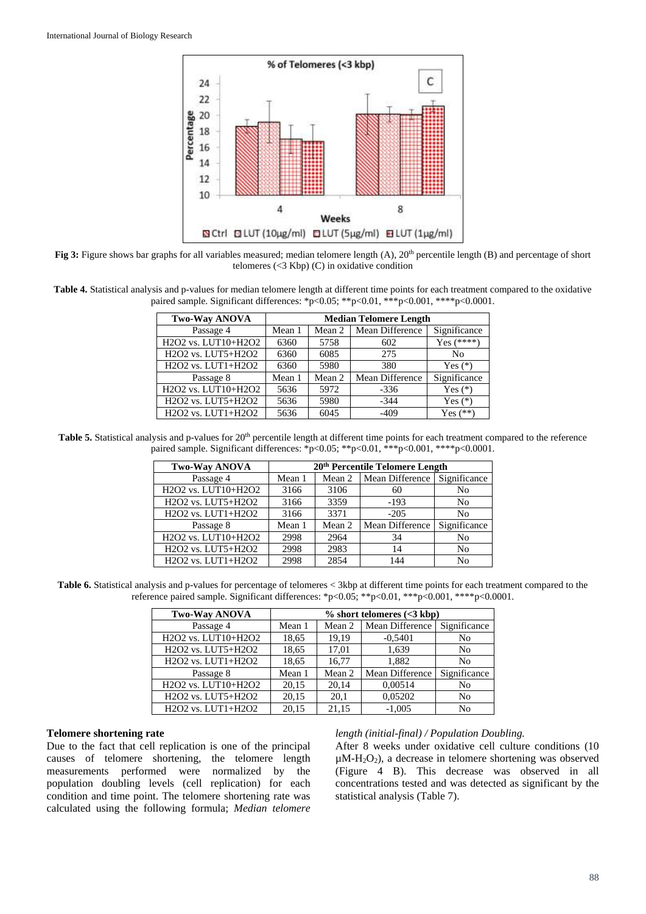

**Fig 3:** Figure shows bar graphs for all variables measured; median telomere length (A), 20<sup>th</sup> percentile length (B) and percentage of short telomeres (<3 Kbp) (C) in oxidative condition

**Table 4.** Statistical analysis and p-values for median telomere length at different time points for each treatment compared to the oxidative paired sample. Significant differences: \*p<0.05; \*\*p<0.01, \*\*\*p<0.001, \*\*\*\*p<0.0001.

| <b>Two-Way ANOVA</b>                                                              | <b>Median Telomere Length</b> |        |                 |                |
|-----------------------------------------------------------------------------------|-------------------------------|--------|-----------------|----------------|
| Passage 4                                                                         | Mean 1                        | Mean 2 | Mean Difference | Significance   |
| H <sub>2</sub> O <sub>2</sub> vs. LUT <sub>10+H<sub>2</sub>O<sub>2</sub></sub>    | 6360                          | 5758   | 602             | Yes $(****)$   |
| H <sub>2</sub> O <sub>2</sub> vs. LUT5+H <sub>2</sub> O <sub>2</sub>              | 6360                          | 6085   | 275             | N <sub>0</sub> |
| H2O2 vs. LUT1+H2O2                                                                | 6360                          | 5980   | 380             | Yes $(*)$      |
| Passage 8                                                                         | Mean 1                        | Mean 2 | Mean Difference | Significance   |
| H2O2 vs. LUT10+H2O2                                                               | 5636                          | 5972   | $-336$          | Yes $(*)$      |
| H <sub>2</sub> O <sub>2</sub> vs. LUT5+H <sub>2</sub> O <sub>2</sub>              | 5636                          | 5980   | $-344$          | Yes $(*)$      |
| H <sub>2</sub> O <sub>2</sub> vs. LUT <sub>1</sub> +H <sub>2</sub> O <sub>2</sub> | 5636                          | 6045   | $-409$          | Yes $(**)$     |

Table 5. Statistical analysis and p-values for 20<sup>th</sup> percentile length at different time points for each treatment compared to the reference paired sample. Significant differences: \*p<0.05; \*\*p<0.01, \*\*\*p<0.001, \*\*\*\*p<0.0001.

| <b>Two-Way ANOVA</b> | 20 <sup>th</sup> Percentile Telomere Length |        |                 |                |  |
|----------------------|---------------------------------------------|--------|-----------------|----------------|--|
| Passage 4            | Mean 1                                      | Mean 2 | Mean Difference | Significance   |  |
| H2O2 vs. LUT10+H2O2  | 3166                                        | 3106   | 60              | No             |  |
| H2O2 vs. LUT5+H2O2   | 3166                                        | 3359   | $-193$          | N <sub>0</sub> |  |
| H2O2 vs. LUT1+H2O2   | 3166                                        | 3371   | $-205$          | N <sub>0</sub> |  |
| Passage 8            | Mean 1                                      | Mean 2 | Mean Difference | Significance   |  |
| H2O2 vs. LUT10+H2O2  | 2998                                        | 2964   | 34              | No             |  |
| H2O2 vs. LUT5+H2O2   | 2998                                        | 2983   | 14              | No             |  |
| H2O2 vs. LUT1+H2O2   | 2998                                        | 2854   | 144             | No             |  |

**Table 6.** Statistical analysis and p-values for percentage of telomeres < 3kbp at different time points for each treatment compared to the reference paired sample. Significant differences: \*p<0.05; \*\*p<0.01, \*\*\*p<0.001, \*\*\*\*p<0.0001.

| <b>Two-Way ANOVA</b>                                                              | $%$ short telomeres (<3 kbp) |        |                 |                |
|-----------------------------------------------------------------------------------|------------------------------|--------|-----------------|----------------|
| Passage 4                                                                         | Mean 1                       | Mean 2 | Mean Difference | Significance   |
| H2O2 vs. LUT10+H2O2                                                               | 18,65                        | 19.19  | $-0,5401$       | No             |
| H <sub>2</sub> O <sub>2</sub> vs. LUT5+H <sub>2</sub> O <sub>2</sub>              | 18,65                        | 17,01  | 1,639           | N <sub>0</sub> |
| H <sub>2</sub> O <sub>2</sub> vs. LUT <sub>1</sub> +H <sub>2</sub> O <sub>2</sub> | 18,65                        | 16,77  | 1,882           | No             |
| Passage 8                                                                         | Mean 1                       | Mean 2 | Mean Difference | Significance   |
| H2O2 vs. LUT10+H2O2                                                               | 20.15                        | 20.14  | 0.00514         | No             |
| H2O2 vs. LUT5+H2O2                                                                | 20.15                        | 20,1   | 0.05202         | N <sub>0</sub> |
| H <sub>2</sub> O <sub>2</sub> vs. LUT <sub>1</sub> +H <sub>2</sub> O <sub>2</sub> | 20.15                        | 21.15  | $-1.005$        | N <sub>0</sub> |

#### **Telomere shortening rate**

Due to the fact that cell replication is one of the principal causes of telomere shortening, the telomere length measurements performed were normalized by the population doubling levels (cell replication) for each condition and time point. The telomere shortening rate was calculated using the following formula; *Median telomere* 

#### *length (initial-final) / Population Doubling.*

After 8 weeks under oxidative cell culture conditions (10  $\mu$ M-H<sub>2</sub>O<sub>2</sub>), a decrease in telomere shortening was observed (Figure 4 B). This decrease was observed in all concentrations tested and was detected as significant by the statistical analysis (Table 7).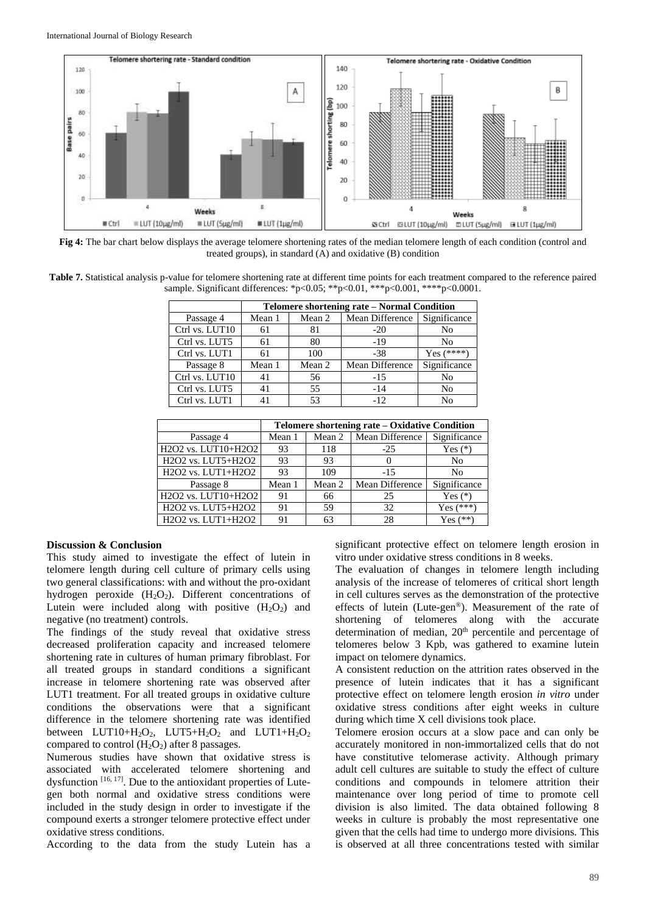

**Fig 4:** The bar chart below displays the average telomere shortening rates of the median telomere length of each condition (control and treated groups), in standard (A) and oxidative (B) condition

**Table 7.** Statistical analysis p-value for telomere shortening rate at different time points for each treatment compared to the reference paired sample. Significant differences: \*p<0.05; \*\*p<0.01, \*\*\*p<0.001, \*\*\*\*p<0.0001.

|                | Telomere shortening rate - Normal Condition |        |                              |                |  |
|----------------|---------------------------------------------|--------|------------------------------|----------------|--|
| Passage 4      | Mean 1                                      | Mean 2 | Mean Difference Significance |                |  |
| Ctrl vs. LUT10 | 61                                          | 81     | $-20$                        | No             |  |
| Ctrl vs. LUT5  | 61                                          | 80     | $-19$                        | No             |  |
| Ctrl vs. LUT1  | 61                                          | 100    | $-38$                        | $Yes (****)$   |  |
| Passage 8      | Mean 1                                      | Mean 2 | Mean Difference              | Significance   |  |
| Ctrl vs. LUT10 | 41                                          | 56     | $-1.5$                       | N <sub>0</sub> |  |
| Ctrl vs. LUT5  | 41                                          | 55     | $-14$                        | N <sub>0</sub> |  |
| Ctrl vs. LUT1  |                                             | 53     | $-12$                        | N٥             |  |

|                                                                                | Telomere shortening rate – Oxidative Condition |        |                 |                |
|--------------------------------------------------------------------------------|------------------------------------------------|--------|-----------------|----------------|
| Passage 4                                                                      | Mean 1                                         | Mean 2 | Mean Difference | Significance   |
| H2O2 vs. LUT10+H2O2                                                            | 93                                             | 118    | $-25$           | Yes $(*)$      |
| H <sub>2</sub> O <sub>2</sub> vs. LUT5+H <sub>2</sub> O <sub>2</sub>           | 93                                             | 93     |                 | N <sub>0</sub> |
| H2O2 vs. LUT1+H2O2                                                             | 93                                             | 109    | $-1.5$          | N <sub>0</sub> |
| Passage 8                                                                      | Mean 1                                         | Mean 2 | Mean Difference | Significance   |
| H <sub>2</sub> O <sub>2</sub> vs. LUT <sub>10+H<sub>2</sub>O<sub>2</sub></sub> | 91                                             | 66     | 25              | Yes $(*)$      |
| H <sub>2</sub> O <sub>2</sub> vs. LUT5+H <sub>2</sub> O <sub>2</sub>           | 91                                             | 59     | 32              | $Yes (***)$    |
| H2O2 vs. LUT1+H2O2                                                             | 91                                             | 63     | 28              | $Yes (*)$      |

#### **Discussion & Conclusion**

This study aimed to investigate the effect of lutein in telomere length during cell culture of primary cells using two general classifications: with and without the pro-oxidant hydrogen peroxide  $(H_2O_2)$ . Different concentrations of Lutein were included along with positive  $(H_2O_2)$  and negative (no treatment) controls.

The findings of the study reveal that oxidative stress decreased proliferation capacity and increased telomere shortening rate in cultures of human primary fibroblast. For all treated groups in standard conditions a significant increase in telomere shortening rate was observed after LUT1 treatment. For all treated groups in oxidative culture conditions the observations were that a significant difference in the telomere shortening rate was identified between LUT10+ $H_2O_2$ , LUT5+ $H_2O_2$  and LUT1+ $H_2O_2$ compared to control  $(H_2O_2)$  after 8 passages.

Numerous studies have shown that oxidative stress is associated with accelerated telomere shortening and dysfunction  $[16, 17]$ . Due to the antioxidant properties of Lutegen both normal and oxidative stress conditions were included in the study design in order to investigate if the compound exerts a stronger telomere protective effect under oxidative stress conditions.

According to the data from the study Lutein has a

significant protective effect on telomere length erosion in vitro under oxidative stress conditions in 8 weeks.

The evaluation of changes in telomere length including analysis of the increase of telomeres of critical short length in cell cultures serves as the demonstration of the protective effects of lutein (Lute-gen®). Measurement of the rate of shortening of telomeres along with the accurate determination of median, 20<sup>th</sup> percentile and percentage of telomeres below 3 Kpb, was gathered to examine lutein impact on telomere dynamics.

A consistent reduction on the attrition rates observed in the presence of lutein indicates that it has a significant protective effect on telomere length erosion *in vitro* under oxidative stress conditions after eight weeks in culture during which time X cell divisions took place.

Telomere erosion occurs at a slow pace and can only be accurately monitored in non-immortalized cells that do not have constitutive telomerase activity. Although primary adult cell cultures are suitable to study the effect of culture conditions and compounds in telomere attrition their maintenance over long period of time to promote cell division is also limited. The data obtained following 8 weeks in culture is probably the most representative one given that the cells had time to undergo more divisions. This is observed at all three concentrations tested with similar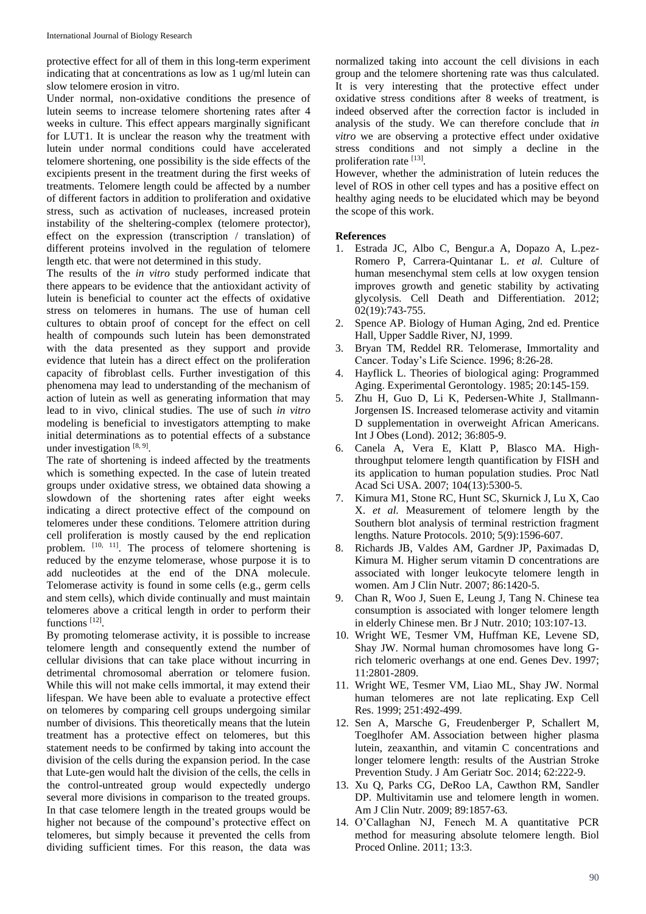protective effect for all of them in this long-term experiment indicating that at concentrations as low as 1 ug/ml lutein can slow telomere erosion in vitro.

Under normal, non-oxidative conditions the presence of lutein seems to increase telomere shortening rates after 4 weeks in culture. This effect appears marginally significant for LUT1. It is unclear the reason why the treatment with lutein under normal conditions could have accelerated telomere shortening, one possibility is the side effects of the excipients present in the treatment during the first weeks of treatments. Telomere length could be affected by a number of different factors in addition to proliferation and oxidative stress, such as activation of nucleases, increased protein instability of the sheltering-complex (telomere protector), effect on the expression (transcription / translation) of different proteins involved in the regulation of telomere length etc. that were not determined in this study.

The results of the *in vitro* study performed indicate that there appears to be evidence that the antioxidant activity of lutein is beneficial to counter act the effects of oxidative stress on telomeres in humans. The use of human cell cultures to obtain proof of concept for the effect on cell health of compounds such lutein has been demonstrated with the data presented as they support and provide evidence that lutein has a direct effect on the proliferation capacity of fibroblast cells. Further investigation of this phenomena may lead to understanding of the mechanism of action of lutein as well as generating information that may lead to in vivo, clinical studies. The use of such *in vitro* modeling is beneficial to investigators attempting to make initial determinations as to potential effects of a substance under investigation [8, 9].

The rate of shortening is indeed affected by the treatments which is something expected. In the case of lutein treated groups under oxidative stress, we obtained data showing a slowdown of the shortening rates after eight weeks indicating a direct protective effect of the compound on telomeres under these conditions. Telomere attrition during cell proliferation is mostly caused by the end replication problem. [10, 11]. The process of telomere shortening is reduced by the enzyme telomerase, whose purpose it is to add nucleotides at the end of the DNA molecule. Telomerase activity is found in some cells (e.g., germ cells and stem cells), which divide continually and must maintain telomeres above a critical length in order to perform their functions<sup>[12]</sup>.

By promoting telomerase activity, it is possible to increase telomere length and consequently extend the number of cellular divisions that can take place without incurring in detrimental chromosomal aberration or telomere fusion. While this will not make cells immortal, it may extend their lifespan. We have been able to evaluate a protective effect on telomeres by comparing cell groups undergoing similar number of divisions. This theoretically means that the lutein treatment has a protective effect on telomeres, but this statement needs to be confirmed by taking into account the division of the cells during the expansion period. In the case that Lute-gen would halt the division of the cells, the cells in the control-untreated group would expectedly undergo several more divisions in comparison to the treated groups. In that case telomere length in the treated groups would be higher not because of the compound's protective effect on telomeres, but simply because it prevented the cells from dividing sufficient times. For this reason, the data was normalized taking into account the cell divisions in each group and the telomere shortening rate was thus calculated. It is very interesting that the protective effect under oxidative stress conditions after 8 weeks of treatment, is indeed observed after the correction factor is included in analysis of the study. We can therefore conclude that *in vitro* we are observing a protective effect under oxidative stress conditions and not simply a decline in the proliferation rate [13].

However, whether the administration of lutein reduces the level of ROS in other cell types and has a positive effect on healthy aging needs to be elucidated which may be beyond the scope of this work.

#### **References**

- 1. Estrada JC, Albo C, Bengur.a A, Dopazo A, L.pez-Romero P, Carrera-Quintanar L. *et al.* Culture of human mesenchymal stem cells at low oxygen tension improves growth and genetic stability by activating glycolysis. Cell Death and Differentiation. 2012; 02(19):743-755.
- 2. Spence AP. Biology of Human Aging, 2nd ed. Prentice Hall, Upper Saddle River, NJ, 1999.
- 3. Bryan TM, Reddel RR. Telomerase, Immortality and Cancer. Today's Life Science. 1996; 8:26-28.
- 4. Hayflick L. Theories of biological aging: Programmed Aging. Experimental Gerontology. 1985; 20:145-159.
- 5. Zhu H, Guo D, Li K, Pedersen-White J, Stallmann-Jorgensen IS. Increased telomerase activity and vitamin D supplementation in overweight African Americans. Int J Obes (Lond). 2012; 36:805-9.
- 6. Canela A, Vera E, Klatt P, Blasco MA. Highthroughput telomere length quantification by FISH and its application to human population studies. Proc Natl Acad Sci USA. 2007; 104(13):5300-5.
- 7. Kimura M1, Stone RC, Hunt SC, Skurnick J, Lu X, Cao X. *et al.* Measurement of telomere length by the Southern blot analysis of terminal restriction fragment lengths. Nature Protocols. 2010; 5(9):1596-607.
- 8. Richards JB, Valdes AM, Gardner JP, Paximadas D, Kimura M. Higher serum vitamin D concentrations are associated with longer leukocyte telomere length in women. Am J Clin Nutr. 2007; 86:1420-5.
- 9. Chan R, Woo J, Suen E, Leung J, Tang N. Chinese tea consumption is associated with longer telomere length in elderly Chinese men. Br J Nutr. 2010; 103:107-13.
- 10. Wright WE, Tesmer VM, Huffman KE, Levene SD, Shay JW. Normal human chromosomes have long Grich telomeric overhangs at one end. Genes Dev. 1997; 11:2801-2809.
- 11. Wright WE, Tesmer VM, Liao ML, Shay JW. Normal human telomeres are not late replicating. Exp Cell Res. 1999; 251:492-499.
- 12. Sen A, Marsche G, Freudenberger P, Schallert M, Toeglhofer AM. Association between higher plasma lutein, zeaxanthin, and vitamin C concentrations and longer telomere length: results of the Austrian Stroke Prevention Study. J Am Geriatr Soc. 2014; 62:222-9.
- 13. Xu Q, Parks CG, DeRoo LA, Cawthon RM, Sandler DP. Multivitamin use and telomere length in women. Am J Clin Nutr. 2009; 89:1857-63.
- 14. O'Callaghan NJ, Fenech M. A quantitative PCR method for measuring absolute telomere length. Biol Proced Online. 2011; 13:3.